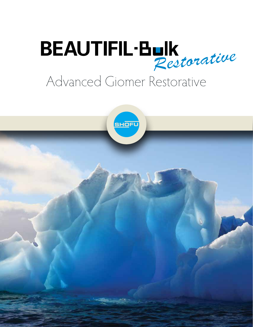